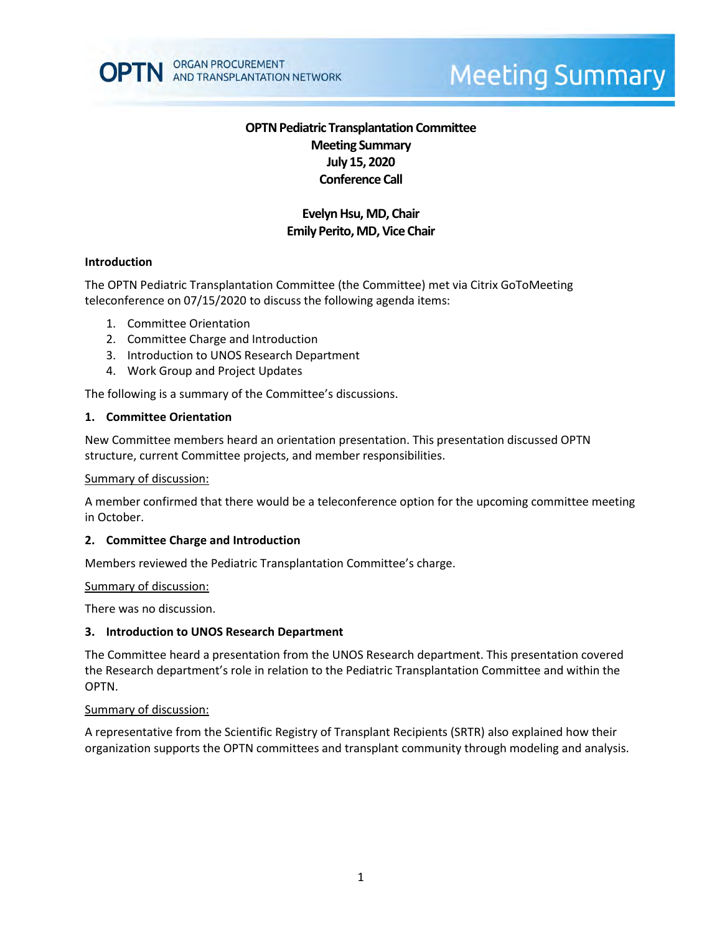

# **Meeting Summary**

# **OPTN Pediatric Transplantation Committee Meeting Summary July 15, 2020 Conference Call**

# **Evelyn Hsu, MD, Chair Emily Perito, MD, Vice Chair**

### **Introduction**

The OPTN Pediatric Transplantation Committee (the Committee) met via Citrix GoToMeeting teleconference on 07/15/2020 to discuss the following agenda items:

- 1. Committee Orientation
- 2. Committee Charge and Introduction
- 3. Introduction to UNOS Research Department
- 4. Work Group and Project Updates

The following is a summary of the Committee's discussions.

#### **1. Committee Orientation**

New Committee members heard an orientation presentation. This presentation discussed OPTN structure, current Committee projects, and member responsibilities.

#### Summary of discussion:

A member confirmed that there would be a teleconference option for the upcoming committee meeting in October.

#### **2. Committee Charge and Introduction**

Members reviewed the Pediatric Transplantation Committee's charge.

#### Summary of discussion:

There was no discussion.

#### **3. Introduction to UNOS Research Department**

The Committee heard a presentation from the UNOS Research department. This presentation covered the Research department's role in relation to the Pediatric Transplantation Committee and within the OPTN.

#### Summary of discussion:

A representative from the Scientific Registry of Transplant Recipients (SRTR) also explained how their organization supports the OPTN committees and transplant community through modeling and analysis.